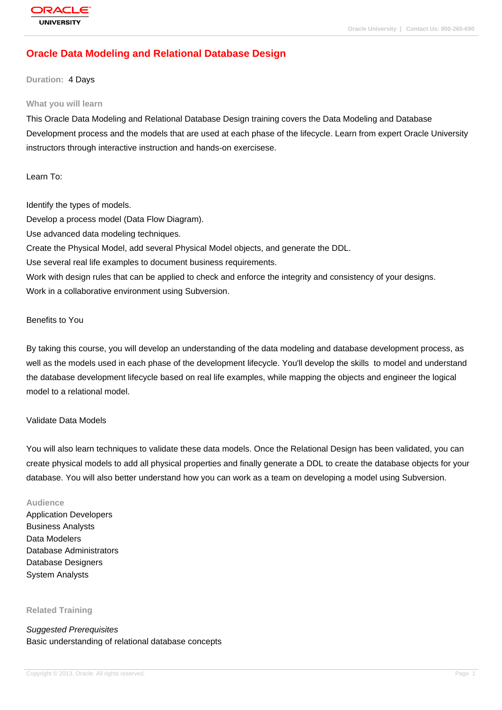# **[Oracle Data Mo](http://education.oracle.com/pls/web_prod-plq-dad/db_pages.getpage?page_id=3)deling and Relational Database Design**

#### **Duration:** 4 Days

#### **What you will learn**

This Oracle Data Modeling and Relational Database Design training covers the Data Modeling and Database Development process and the models that are used at each phase of the lifecycle. Learn from expert Oracle University instructors through interactive instruction and hands-on exercisese.

Learn To:

Identify the types of models. Develop a process model (Data Flow Diagram). Use advanced data modeling techniques. Create the Physical Model, add several Physical Model objects, and generate the DDL. Use several real life examples to document business requirements. Work with design rules that can be applied to check and enforce the integrity and consistency of your designs. Work in a collaborative environment using Subversion.

### Benefits to You

By taking this course, you will develop an understanding of the data modeling and database development process, as well as the models used in each phase of the development lifecycle. You'll develop the skills to model and understand the database development lifecycle based on real life examples, while mapping the objects and engineer the logical model to a relational model.

#### Validate Data Models

You will also learn techniques to validate these data models. Once the Relational Design has been validated, you can create physical models to add all physical properties and finally generate a DDL to create the database objects for your database. You will also better understand how you can work as a team on developing a model using Subversion.

#### **Audience**

Application Developers Business Analysts Data Modelers Database Administrators Database Designers System Analysts

**Related Training**

Suggested Prerequisites Basic understanding of relational database concepts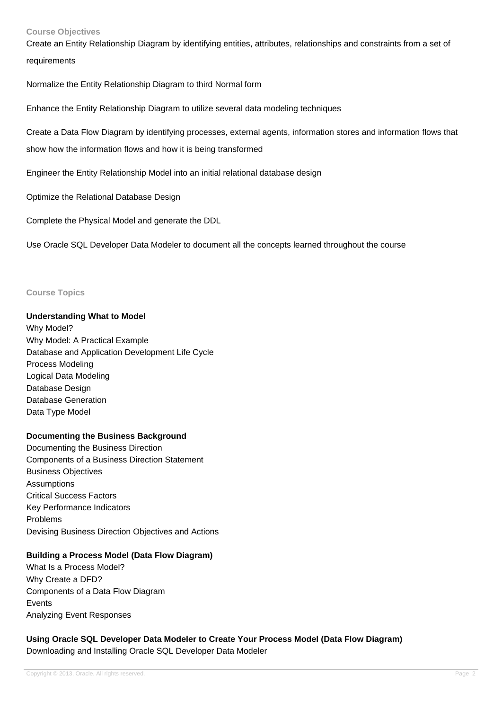### **Course Objectives**

Create an Entity Relationship Diagram by identifying entities, attributes, relationships and constraints from a set of requirements

Normalize the Entity Relationship Diagram to third Normal form

Enhance the Entity Relationship Diagram to utilize several data modeling techniques

Create a Data Flow Diagram by identifying processes, external agents, information stores and information flows that show how the information flows and how it is being transformed

Engineer the Entity Relationship Model into an initial relational database design

Optimize the Relational Database Design

Complete the Physical Model and generate the DDL

Use Oracle SQL Developer Data Modeler to document all the concepts learned throughout the course

#### **Course Topics**

### **Understanding What to Model**

Why Model? Why Model: A Practical Example Database and Application Development Life Cycle Process Modeling Logical Data Modeling Database Design Database Generation Data Type Model

### **Documenting the Business Background**

Documenting the Business Direction Components of a Business Direction Statement Business Objectives Assumptions Critical Success Factors Key Performance Indicators Problems Devising Business Direction Objectives and Actions

### **Building a Process Model (Data Flow Diagram)**

What Is a Process Model? Why Create a DFD? Components of a Data Flow Diagram Events Analyzing Event Responses

**Using Oracle SQL Developer Data Modeler to Create Your Process Model (Data Flow Diagram)** Downloading and Installing Oracle SQL Developer Data Modeler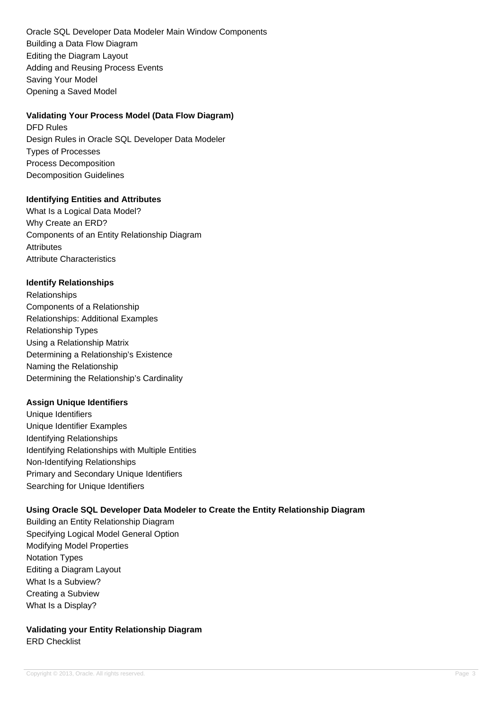Oracle SQL Developer Data Modeler Main Window Components Building a Data Flow Diagram Editing the Diagram Layout Adding and Reusing Process Events Saving Your Model Opening a Saved Model

## **Validating Your Process Model (Data Flow Diagram)**

DFD Rules Design Rules in Oracle SQL Developer Data Modeler Types of Processes Process Decomposition Decomposition Guidelines

## **Identifying Entities and Attributes**

What Is a Logical Data Model? Why Create an ERD? Components of an Entity Relationship Diagram **Attributes** Attribute Characteristics

## **Identify Relationships**

Relationships Components of a Relationship Relationships: Additional Examples Relationship Types Using a Relationship Matrix Determining a Relationship's Existence Naming the Relationship Determining the Relationship's Cardinality

# **Assign Unique Identifiers**

Unique Identifiers Unique Identifier Examples Identifying Relationships Identifying Relationships with Multiple Entities Non-Identifying Relationships Primary and Secondary Unique Identifiers Searching for Unique Identifiers

# **Using Oracle SQL Developer Data Modeler to Create the Entity Relationship Diagram**

Building an Entity Relationship Diagram Specifying Logical Model General Option Modifying Model Properties Notation Types Editing a Diagram Layout What Is a Subview? Creating a Subview What Is a Display?

# **Validating your Entity Relationship Diagram** ERD Checklist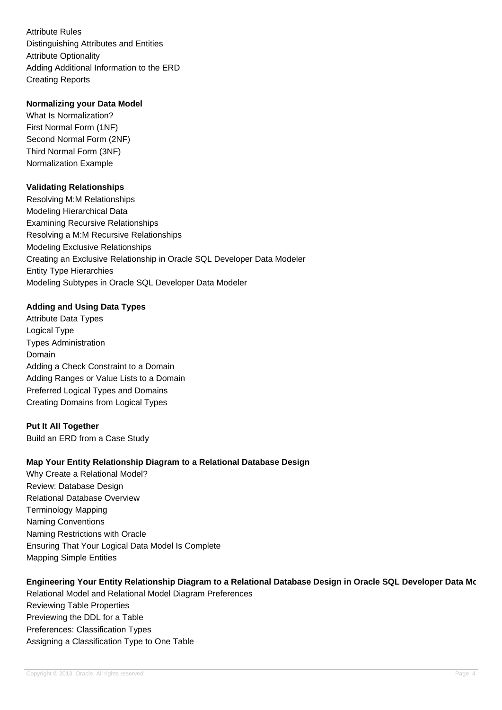Attribute Rules Distinguishing Attributes and Entities Attribute Optionality Adding Additional Information to the ERD Creating Reports

## **Normalizing your Data Model**

What Is Normalization? First Normal Form (1NF) Second Normal Form (2NF) Third Normal Form (3NF) Normalization Example

## **Validating Relationships**

Resolving M:M Relationships Modeling Hierarchical Data Examining Recursive Relationships Resolving a M:M Recursive Relationships Modeling Exclusive Relationships Creating an Exclusive Relationship in Oracle SQL Developer Data Modeler Entity Type Hierarchies Modeling Subtypes in Oracle SQL Developer Data Modeler

# **Adding and Using Data Types**

Attribute Data Types Logical Type Types Administration Domain Adding a Check Constraint to a Domain Adding Ranges or Value Lists to a Domain Preferred Logical Types and Domains Creating Domains from Logical Types

### **Put It All Together**

Build an ERD from a Case Study

### **Map Your Entity Relationship Diagram to a Relational Database Design**

Why Create a Relational Model? Review: Database Design Relational Database Overview Terminology Mapping Naming Conventions Naming Restrictions with Oracle Ensuring That Your Logical Data Model Is Complete Mapping Simple Entities

# **Engineering Your Entity Relationship Diagram to a Relational Database Design in Oracle SQL Developer Data Model**

Relational Model and Relational Model Diagram Preferences Reviewing Table Properties Previewing the DDL for a Table Preferences: Classification Types Assigning a Classification Type to One Table